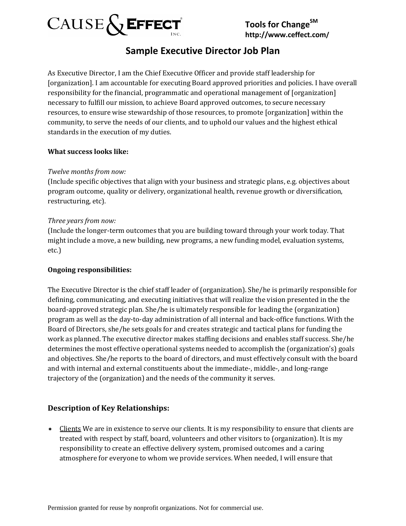

## **Sample Executive Director Job Plan**

As Executive Director, I am the Chief Executive Officer and provide staff leadership for [organization]. I am accountable for executing Board approved priorities and policies. I have overall responsibility for the financial, programmatic and operational management of [organization] necessary to fulfill our mission, to achieve Board approved outcomes, to secure necessary resources, to ensure wise stewardship of those resources, to promote [organization] within the community, to serve the needs of our clients, and to uphold our values and the highest ethical standards in the execution of my duties.

### **What success looks like:**

### *Twelve months from now:*

(Include specific objectives that align with your business and strategic plans, e.g. objectives about program outcome, quality or delivery, organizational health, revenue growth or diversification, restructuring, etc).

### *Three years from now:*

(Include the longer-term outcomes that you are building toward through your work today. That might include a move, a new building, new programs, a new funding model, evaluation systems, etc.)

#### **Ongoing responsibilities:**

The Executive Director is the chief staff leader of (organization). She/he is primarily responsible for defining, communicating, and executing initiatives that will realize the vision presented in the the board-approved strategic plan. She/he is ultimately responsible for leading the (organization) program as well as the day-to-day administration of all internal and back-office functions. With the Board of Directors, she/he sets goals for and creates strategic and tactical plans for funding the work as planned. The executive director makes staffing decisions and enables staff success. She/he determines the most effective operational systems needed to accomplish the (organization's) goals and objectives. She/he reports to the board of directors, and must effectively consult with the board and with internal and external constituents about the immediate-, middle-, and long-range trajectory of the (organization) and the needs of the community it serves.

### **Description of Key Relationships:**

\* Clients We are in existence to serve our clients. It is my responsibility to ensure that clients are treated with respect by staff, board, volunteers and other visitors to (organization). It is my responsibility to create an effective delivery system, promised outcomes and a caring atmosphere for everyone to whom we provide services. When needed, I will ensure that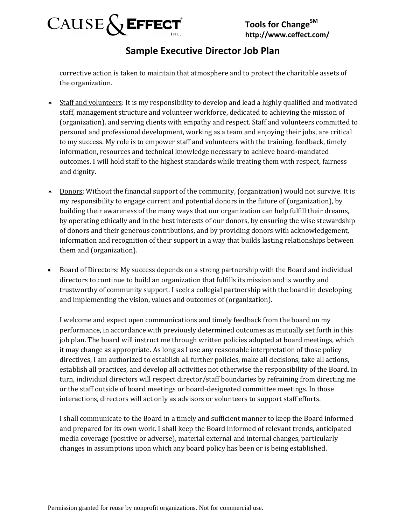

## **Sample Executive Director Job Plan**

corrective action is taken to maintain that atmosphere and to protect the charitable assets of the organization.

- \* Staff and volunteers: It is my responsibility to develop and lead a highly qualified and motivated staff, management structure and volunteer workforce, dedicated to achieving the mission of (organization). and serving clients with empathy and respect. Staff and volunteers committed to personal and professional development, working as a team and enjoying their jobs, are critical to my success. My role is to empower staff and volunteers with the training, feedback, timely information, resources and technical knowledge necessary to achieve board-mandated outcomes. I will hold staff to the highest standards while treating them with respect, fairness and dignity.
- \* Donors: Without the financial support of the community, (organization) would not survive. It is my responsibility to engage current and potential donors in the future of (organization), by building their awareness of the many ways that our organization can help fulfill their dreams, by operating ethically and in the best interests of our donors, by ensuring the wise stewardship of donors and their generous contributions, and by providing donors with acknowledgement, information and recognition of their support in a way that builds lasting relationships between them and (organization).
- Board of Directors: My success depends on a strong partnership with the Board and individual directors to continue to build an organization that fulfills its mission and is worthy and trustworthy of community support. I seek a collegial partnership with the board in developing and implementing the vision, values and outcomes of (organization).

I welcome and expect open communications and timely feedback from the board on my performance, in accordance with previously determined outcomes as mutually set forth in this job plan. The board will instruct me through written policies adopted at board meetings, which it may change as appropriate. As long as I use any reasonable interpretation of those policy directives, I am authorized to establish all further policies, make all decisions, take all actions, establish all practices, and develop all activities not otherwise the responsibility of the Board. In turn, individual directors will respect director/staff boundaries by refraining from directing me or the staff outside of board meetings or board-designated committee meetings. In those interactions, directors will act only as advisors or volunteers to support staff efforts.

I shall communicate to the Board in a timely and sufficient manner to keep the Board informed and prepared for its own work. I shall keep the Board informed of relevant trends, anticipated media coverage (positive or adverse), material external and internal changes, particularly changes in assumptions upon which any board policy has been or is being established.